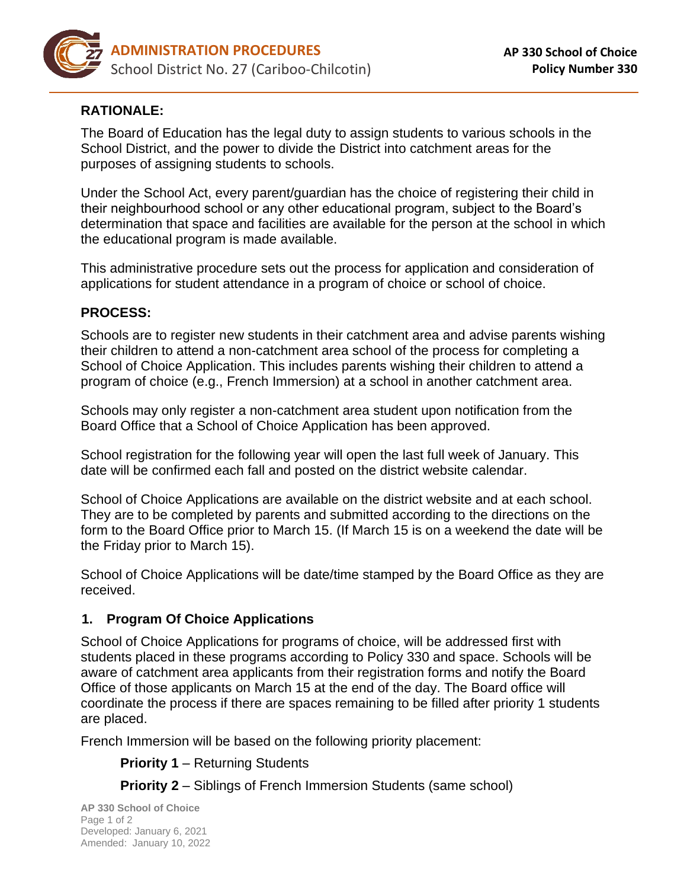

# **RATIONALE:**

The Board of Education has the legal duty to assign students to various schools in the School District, and the power to divide the District into catchment areas for the purposes of assigning students to schools.

Under the School Act, every parent/guardian has the choice of registering their child in their neighbourhood school or any other educational program, subject to the Board's determination that space and facilities are available for the person at the school in which the educational program is made available.

This administrative procedure sets out the process for application and consideration of applications for student attendance in a program of choice or school of choice.

# **PROCESS:**

Schools are to register new students in their catchment area and advise parents wishing their children to attend a non-catchment area school of the process for completing a School of Choice Application. This includes parents wishing their children to attend a program of choice (e.g., French Immersion) at a school in another catchment area.

Schools may only register a non-catchment area student upon notification from the Board Office that a School of Choice Application has been approved.

School registration for the following year will open the last full week of January. This date will be confirmed each fall and posted on the district website calendar.

School of Choice Applications are available on the district website and at each school. They are to be completed by parents and submitted according to the directions on the form to the Board Office prior to March 15. (If March 15 is on a weekend the date will be the Friday prior to March 15).

School of Choice Applications will be date/time stamped by the Board Office as they are received.

### **1. Program Of Choice Applications**

School of Choice Applications for programs of choice, will be addressed first with students placed in these programs according to Policy 330 and space. Schools will be aware of catchment area applicants from their registration forms and notify the Board Office of those applicants on March 15 at the end of the day. The Board office will coordinate the process if there are spaces remaining to be filled after priority 1 students are placed.

French Immersion will be based on the following priority placement:

**Priority 1 – Returning Students** 

**Priority 2** – Siblings of French Immersion Students (same school)

**AP 330 School of Choice** Page 1 of 2 Developed: January 6, 2021 Amended: January 10, 2022